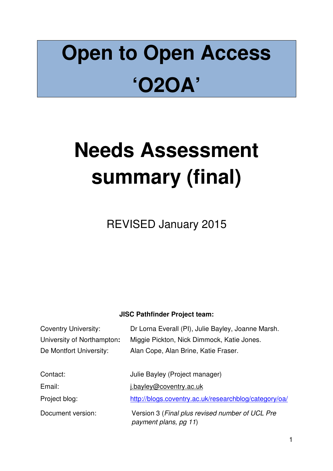# **Open to Open Access 'O2OA'**

# **Needs Assessment summary (final)**

REVISED January 2015

# **JISC Pathfinder Project team:**

| <b>Coventry University:</b> | Dr Lorna Everall (PI), Julie Bayley, Joanne Marsh.                       |  |  |  |  |
|-----------------------------|--------------------------------------------------------------------------|--|--|--|--|
| University of Northampton:  | Miggie Pickton, Nick Dimmock, Katie Jones.                               |  |  |  |  |
| De Montfort University:     | Alan Cope, Alan Brine, Katie Fraser.                                     |  |  |  |  |
|                             |                                                                          |  |  |  |  |
| Contact:                    | Julie Bayley (Project manager)                                           |  |  |  |  |
| Email:                      | i.bayley@coventry.ac.uk                                                  |  |  |  |  |
| Project blog:               | http://blogs.coventry.ac.uk/researchblog/category/oa/                    |  |  |  |  |
| Document version:           | Version 3 (Final plus revised number of UCL Pre<br>payment plans, pg 11) |  |  |  |  |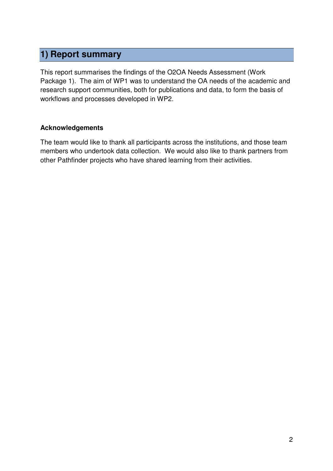# **1) Report summary**

This report summarises the findings of the O2OA Needs Assessment (Work Package 1). The aim of WP1 was to understand the OA needs of the academic and research support communities, both for publications and data, to form the basis of workflows and processes developed in WP2.

#### **Acknowledgements**

The team would like to thank all participants across the institutions, and those team members who undertook data collection. We would also like to thank partners from other Pathfinder projects who have shared learning from their activities.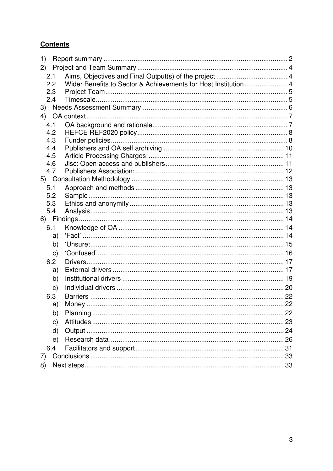# **Contents**

| 1)  |              |             |  |  |  |  |
|-----|--------------|-------------|--|--|--|--|
| 2)  |              |             |  |  |  |  |
| 2.1 |              |             |  |  |  |  |
|     | 2.2          |             |  |  |  |  |
|     | 2.3          |             |  |  |  |  |
|     | 2.4          |             |  |  |  |  |
|     |              |             |  |  |  |  |
|     |              |             |  |  |  |  |
| 4.1 |              |             |  |  |  |  |
|     | 4.2          |             |  |  |  |  |
|     | 4.3          |             |  |  |  |  |
|     | 4.4          |             |  |  |  |  |
|     | 4.5          |             |  |  |  |  |
|     | 4.6          |             |  |  |  |  |
|     | 4.7          |             |  |  |  |  |
|     |              |             |  |  |  |  |
| 5.1 |              |             |  |  |  |  |
|     | 5.2          |             |  |  |  |  |
|     | 5.3          |             |  |  |  |  |
|     | 5.4          |             |  |  |  |  |
|     |              |             |  |  |  |  |
|     | 6.1          |             |  |  |  |  |
|     | a)           |             |  |  |  |  |
|     | b)           |             |  |  |  |  |
|     | $\mathsf{C}$ |             |  |  |  |  |
|     | 6.2          |             |  |  |  |  |
|     | a)           |             |  |  |  |  |
|     | b)           |             |  |  |  |  |
|     | $\mathsf{C}$ |             |  |  |  |  |
|     | 6.3          |             |  |  |  |  |
|     | a)           | 22<br>Money |  |  |  |  |
|     | b)           |             |  |  |  |  |
|     | C)           |             |  |  |  |  |
|     | d)           |             |  |  |  |  |
|     | e)           |             |  |  |  |  |
|     | 6.4          |             |  |  |  |  |
| 7)  |              |             |  |  |  |  |
| 8)  |              |             |  |  |  |  |
|     |              |             |  |  |  |  |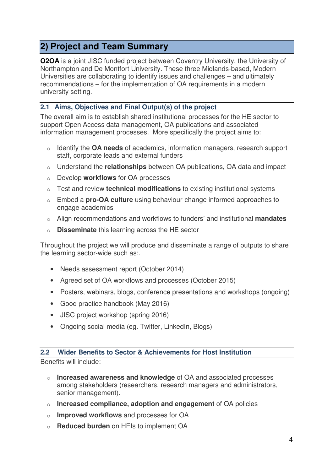# **2) Project and Team Summary**

**O2OA** is a joint JISC funded project between Coventry University, the University of Northampton and De Montfort University. These three Midlands-based, Modern Universities are collaborating to identify issues and challenges – and ultimately recommendations – for the implementation of OA requirements in a modern university setting.

### **2.1 Aims, Objectives and Final Output(s) of the project**

The overall aim is to establish shared institutional processes for the HE sector to support Open Access data management, OA publications and associated information management processes. More specifically the project aims to:

- o Identify the **OA needs** of academics, information managers, research support staff, corporate leads and external funders
- o Understand the **relationships** between OA publications, OA data and impact
- o Develop **workflows** for OA processes
- o Test and review **technical modifications** to existing institutional systems
- o Embed a **pro-OA culture** using behaviour-change informed approaches to engage academics
- o Align recommendations and workflows to funders' and institutional **mandates**
- o **Disseminate** this learning across the HE sector

Throughout the project we will produce and disseminate a range of outputs to share the learning sector-wide such as:.

- Needs assessment report (October 2014)
- Agreed set of OA workflows and processes (October 2015)
- Posters, webinars, blogs, conference presentations and workshops (ongoing)
- Good practice handbook (May 2016)
- JISC project workshop (spring 2016)
- Ongoing social media (eg. Twitter, LinkedIn, Blogs)

#### **2.2 Wider Benefits to Sector & Achievements for Host Institution**

Benefits will include:

- o **Increased awareness and knowledge** of OA and associated processes among stakeholders (researchers, research managers and administrators, senior management).
- o **Increased compliance, adoption and engagement** of OA policies
- o **Improved workflows** and processes for OA
- o **Reduced burden** on HEIs to implement OA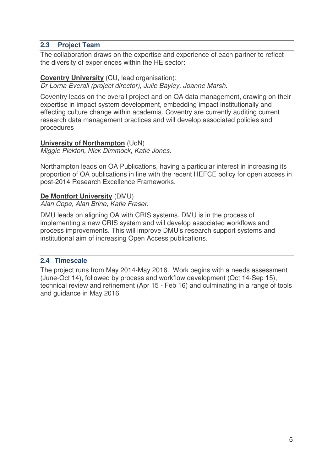#### **2.3 Project Team**

The collaboration draws on the expertise and experience of each partner to reflect the diversity of experiences within the HE sector:

#### **Coventry University** (CU, lead organisation):

*Dr Lorna Everall (project director), Julie Bayley, Joanne Marsh.* 

Coventry leads on the overall project and on OA data management, drawing on their expertise in impact system development, embedding impact institutionally and effecting culture change within academia. Coventry are currently auditing current research data management practices and will develop associated policies and procedures

#### **University of Northampton** (UoN)

*Miggie Pickton, Nick Dimmock, Katie Jones.* 

Northampton leads on OA Publications, having a particular interest in increasing its proportion of OA publications in line with the recent HEFCE policy for open access in post-2014 Research Excellence Frameworks.

#### **De Montfort University** (DMU)

*Alan Cope, Alan Brine, Katie Fraser.* 

DMU leads on aligning OA with CRIS systems. DMU is in the process of implementing a new CRIS system and will develop associated workflows and process improvements. This will improve DMU's research support systems and institutional aim of increasing Open Access publications.

#### **2.4 Timescale**

The project runs from May 2014-May 2016. Work begins with a needs assessment (June-Oct 14), followed by process and workflow development (Oct 14-Sep 15), technical review and refinement (Apr 15 - Feb 16) and culminating in a range of tools and guidance in May 2016.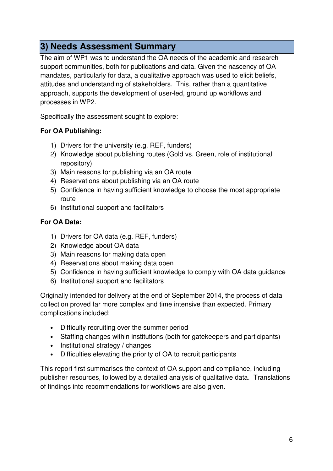# **3) Needs Assessment Summary**

The aim of WP1 was to understand the OA needs of the academic and research support communities, both for publications and data. Given the nascency of OA mandates, particularly for data, a qualitative approach was used to elicit beliefs, attitudes and understanding of stakeholders. This, rather than a quantitative approach, supports the development of user-led, ground up workflows and processes in WP2.

Specifically the assessment sought to explore:

## **For OA Publishing:**

- 1) Drivers for the university (e.g. REF, funders)
- 2) Knowledge about publishing routes (Gold vs. Green, role of institutional repository)
- 3) Main reasons for publishing via an OA route
- 4) Reservations about publishing via an OA route
- 5) Confidence in having sufficient knowledge to choose the most appropriate route
- 6) Institutional support and facilitators

## **For OA Data:**

- 1) Drivers for OA data (e.g. REF, funders)
- 2) Knowledge about OA data
- 3) Main reasons for making data open
- 4) Reservations about making data open
- 5) Confidence in having sufficient knowledge to comply with OA data guidance
- 6) Institutional support and facilitators

Originally intended for delivery at the end of September 2014, the process of data collection proved far more complex and time intensive than expected. Primary complications included:

- Difficulty recruiting over the summer period
- Staffing changes within institutions (both for gatekeepers and participants)
- Institutional strategy / changes
- Difficulties elevating the priority of OA to recruit participants

This report first summarises the context of OA support and compliance, including publisher resources, followed by a detailed analysis of qualitative data. Translations of findings into recommendations for workflows are also given.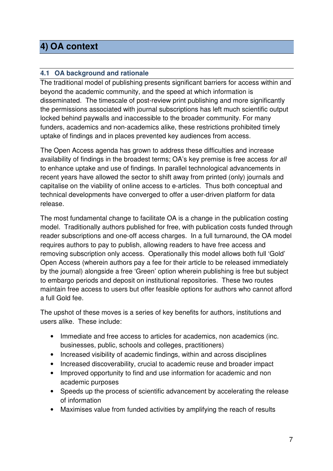# **4) OA context**

# **4.1 OA background and rationale**

The traditional model of publishing presents significant barriers for access within and beyond the academic community, and the speed at which information is disseminated. The timescale of post-review print publishing and more significantly the permissions associated with journal subscriptions has left much scientific output locked behind paywalls and inaccessible to the broader community. For many funders, academics and non-academics alike, these restrictions prohibited timely uptake of findings and in places prevented key audiences from access.

The Open Access agenda has grown to address these difficulties and increase availability of findings in the broadest terms; OA's key premise is free access *for all* to enhance uptake and use of findings. In parallel technological advancements in recent years have allowed the sector to shift away from printed (only) journals and capitalise on the viability of online access to e-articles. Thus both conceptual and technical developments have converged to offer a user-driven platform for data release.

The most fundamental change to facilitate OA is a change in the publication costing model. Traditionally authors published for free, with publication costs funded through reader subscriptions and one-off access charges. In a full turnaround, the OA model requires authors to pay to publish, allowing readers to have free access and removing subscription only access. Operationally this model allows both full 'Gold' Open Access (wherein authors pay a fee for their article to be released immediately by the journal) alongside a free 'Green' option wherein publishing is free but subject to embargo periods and deposit on institutional repositories. These two routes maintain free access to users but offer feasible options for authors who cannot afford a full Gold fee.

The upshot of these moves is a series of key benefits for authors, institutions and users alike. These include:

- Immediate and free access to articles for academics, non academics (inc. businesses, public, schools and colleges, practitioners)
- Increased visibility of academic findings, within and across disciplines
- Increased discoverability, crucial to academic reuse and broader impact
- Improved opportunity to find and use information for academic and non academic purposes
- Speeds up the process of scientific advancement by accelerating the release of information
- Maximises value from funded activities by amplifying the reach of results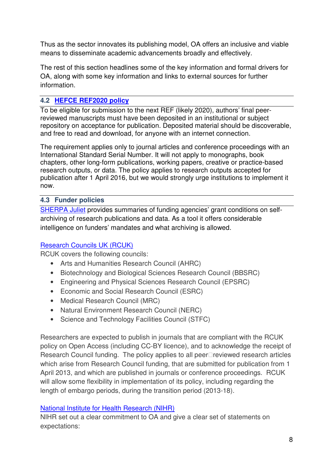Thus as the sector innovates its publishing model, OA offers an inclusive and viable means to disseminate academic advancements broadly and effectively.

The rest of this section headlines some of the key information and formal drivers for OA, along with some key information and links to external sources for further information.

## **4.2 HEFCE REF2020 policy**

To be eligible for submission to the next REF (likely 2020), authors' final peerreviewed manuscripts must have been deposited in an institutional or subject repository on acceptance for publication. Deposited material should be discoverable, and free to read and download, for anyone with an internet connection.

The requirement applies only to journal articles and conference proceedings with an International Standard Serial Number. It will not apply to monographs, book chapters, other long-form publications, working papers, creative or practice-based research outputs, or data. The policy applies to research outputs accepted for publication after 1 April 2016, but we would strongly urge institutions to implement it now.

#### **4.3 Funder policies**

SHERPA Juliet provides summaries of funding agencies' grant conditions on selfarchiving of research publications and data. As a tool it offers considerable intelligence on funders' mandates and what archiving is allowed.

## Research Councils UK (RCUK)

RCUK covers the following councils:

- Arts and Humanities Research Council (AHRC)
- Biotechnology and Biological Sciences Research Council (BBSRC)
- Engineering and Physical Sciences Research Council (EPSRC)
- Economic and Social Research Council (ESRC)
- Medical Research Council (MRC)
- Natural Environment Research Council (NERC)
- Science and Technology Facilities Council (STFC)

Researchers are expected to publish in journals that are compliant with the RCUK policy on Open Access (including CC-BY licence), and to acknowledge the receipt of Research Council funding. The policy applies to all peer reviewed research articles which arise from Research Council funding, that are submitted for publication from 1 April 2013, and which are published in journals or conference proceedings. RCUK will allow some flexibility in implementation of its policy, including regarding the length of embargo periods, during the transition period (2013-18).

#### National Institute for Health Research (NIHR)

NIHR set out a clear commitment to OA and give a clear set of statements on expectations: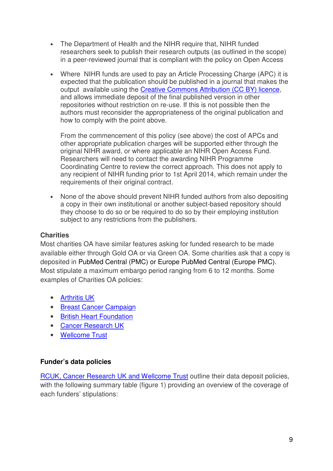- The Department of Health and the NIHR require that, NIHR funded researchers seek to publish their research outputs (as outlined in the scope) in a peer-reviewed journal that is compliant with the policy on Open Access
- Where NIHR funds are used to pay an Article Processing Charge (APC) it is expected that the publication should be published in a journal that makes the output available using the Creative Commons Attribution (CC BY) licence, and allows immediate deposit of the final published version in other repositories without restriction on re-use. If this is not possible then the authors must reconsider the appropriateness of the original publication and how to comply with the point above.

From the commencement of this policy (see above) the cost of APCs and other appropriate publication charges will be supported either through the original NIHR award, or where applicable an NIHR Open Access Fund. Researchers will need to contact the awarding NIHR Programme Coordinating Centre to review the correct approach. This does not apply to any recipient of NIHR funding prior to 1st April 2014, which remain under the requirements of their original contract.

• None of the above should prevent NIHR funded authors from also depositing a copy in their own institutional or another subject-based repository should they choose to do so or be required to do so by their employing institution subject to any restrictions from the publishers.

#### **Charities**

Most charities OA have similar features asking for funded research to be made available either through Gold OA or via Green OA. Some charities ask that a copy is deposited in PubMed Central (PMC) or Europe PubMed Central (Europe PMC). Most stipulate a maximum embargo period ranging from 6 to 12 months. Some examples of Charities OA policies:

- Arthritis UK
- Breast Cancer Campaign
- British Heart Foundation
- Cancer Research UK
- Wellcome Trust

#### **Funder's data policies**

RCUK, Cancer Research UK and Wellcome Trust outline their data deposit policies, with the following summary table (figure 1) providing an overview of the coverage of each funders' stipulations: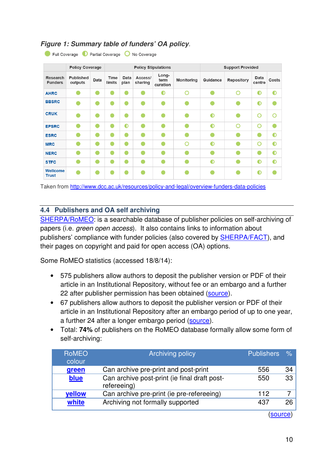# **Figure 1: Summary table of funders' OA policy***.*

|                                   | <b>Policy Coverage</b>      |      | <b>Policy Stipulations</b> |              |                    |                           | <b>Support Provided</b> |           |                   |                |             |
|-----------------------------------|-----------------------------|------|----------------------------|--------------|--------------------|---------------------------|-------------------------|-----------|-------------------|----------------|-------------|
| <b>Research</b><br><b>Funders</b> | <b>Published</b><br>outputs | Data | <b>Time</b><br>limits      | Data<br>plan | Access/<br>sharing | Long-<br>term<br>curation | Monitoring              | Guidance  | <b>Repository</b> | Data<br>centre | Costs       |
| <b>AHRC</b>                       |                             |      |                            |              |                    | ⋒                         | O                       |           | റ                 | $\bullet$      | $\mathbf 0$ |
| <b>BBSRC</b>                      |                             |      |                            |              |                    |                           |                         |           |                   | $\bullet$      |             |
| <b>CRUK</b>                       |                             |      |                            |              |                    |                           |                         | $\bullet$ |                   | O              |             |
| <b>EPSRC</b>                      |                             |      |                            | $\bullet$    |                    |                           |                         | $\bullet$ | ∩                 | O              |             |
| <b>ESRC</b>                       |                             |      |                            |              |                    |                           |                         |           |                   |                | $\bullet$   |
| <b>MRC</b>                        |                             |      |                            | e            |                    |                           | ∩                       | ⋒         |                   | O              | ⋒           |
| <b>NERC</b>                       |                             |      | Ω                          | Ω            |                    |                           |                         |           |                   | €              | ∩           |
| <b>STFC</b>                       |                             |      |                            |              |                    |                           |                         | $\bullet$ |                   | $\bullet$      | $\bullet$   |
| <b>Wellcome</b><br><b>Trust</b>   |                             |      |                            |              |                    |                           |                         |           |                   | $\bullet$      |             |

Full Coverage D Partial Coverage O No Coverage

Taken from http://www.dcc.ac.uk/resources/policy-and-legal/overview-funders-data-policies

#### **4.4 Publishers and OA self archiving**

SHERPA/RoMEO: is a searchable database of publisher policies on self-archiving of papers (i.e. *green open access*). It also contains links to information about publishers' compliance with funder policies (also covered by SHERPA/FACT), and their pages on copyright and paid for open access (OA) options.

Some RoMEO statistics (accessed 18/8/14):

- 575 publishers allow authors to deposit the publisher version or PDF of their article in an Institutional Repository, without fee or an embargo and a further 22 after publisher permission has been obtained (source).
- 67 publishers allow authors to deposit the publisher version or PDF of their article in an Institutional Repository after an embargo period of up to one year, a further 24 after a longer embargo period (source).
- Total: **74%** of publishers on the RoMEO database formally allow some form of self-archiving:

| <b>RoMEO</b><br>colour | <b>Archiving policy</b>                                     | <b>Publishers</b> | $\%$ |
|------------------------|-------------------------------------------------------------|-------------------|------|
| green                  | Can archive pre-print and post-print                        | 556               | 34   |
| blue                   | Can archive post-print (ie final draft post-<br>refereeing) | 550               | 33   |
| <b>vellow</b>          | Can archive pre-print (ie pre-refereeing)                   | 112.              |      |
| white                  | Archiving not formally supported                            | 437               | 26   |
|                        |                                                             |                   |      |

(source)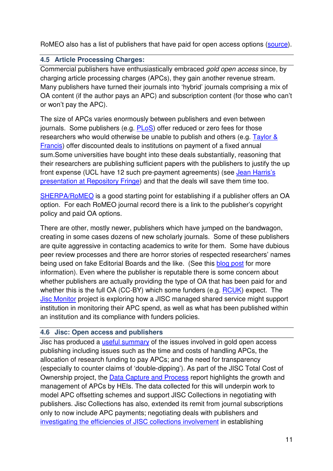RoMEO also has a list of publishers that have paid for open access options (source).

# **4.5 Article Processing Charges:**

Commercial publishers have enthusiastically embraced *gold open access* since, by charging article processing charges (APCs), they gain another revenue stream. Many publishers have turned their journals into 'hybrid' journals comprising a mix of OA content (if the author pays an APC) and subscription content (for those who can't or won't pay the APC).

The size of APCs varies enormously between publishers and even between journals. Some publishers (e.g. PLoS) offer reduced or zero fees for those researchers who would otherwise be unable to publish and others (e.g. Taylor  $\&$ Francis) offer discounted deals to institutions on payment of a fixed annual sum.Some universities have bought into these deals substantially, reasoning that their researchers are publishing sufficient papers with the publishers to justify the up front expense (UCL have 12 such pre-payment agreements) (see Jean Harris's presentation at Repository Fringe) and that the deals will save them time too.

SHERPA/RoMEO is a good starting point for establishing if a publisher offers an OA option. For each RoMEO journal record there is a link to the publisher's copyright policy and paid OA options.

There are other, mostly newer, publishers which have jumped on the bandwagon, creating in some cases dozens of new scholarly journals. Some of these publishers are quite aggressive in contacting academics to write for them. Some have dubious peer review processes and there are horror stories of respected researchers' names being used on fake Editorial Boards and the like. (See this blog post for more information). Even where the publisher is reputable there is some concern about whether publishers are actually providing the type of OA that has been paid for and whether this is the full OA (CC-BY) which some funders (e.g. RCUK) expect. The Jisc Monitor project is exploring how a JISC managed shared service might support institution in monitoring their APC spend, as well as what has been published within an institution and its compliance with funders policies.

## **4.6 Jisc: Open access and publishers**

Jisc has produced a useful summary of the issues involved in gold open access publishing including issues such as the time and costs of handling APCs, the allocation of research funding to pay APCs; and the need for transparency (especially to counter claims of 'double-dipping'). As part of the JISC Total Cost of Ownership project, the Data Capture and Process report highlights the growth and management of APCs by HEIs. The data collected for this will underpin work to model APC offsetting schemes and support JISC Collections in negotiating with publishers. Jisc Collections has also, extended its remit from journal subscriptions only to now include APC payments; negotiating deals with publishers and investigating the efficiencies of JISC collections involvement in establishing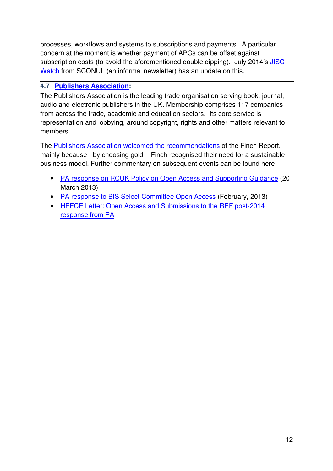processes, workflows and systems to subscriptions and payments. A particular concern at the moment is whether payment of APCs can be offset against subscription costs (to avoid the aforementioned double dipping). July 2014's **JISC** Watch from SCONUL (an informal newsletter) has an update on this.

# **4.7 Publishers Association:**

The Publishers Association is the leading trade organisation serving book, journal, audio and electronic publishers in the UK. Membership comprises 117 companies from across the trade, academic and education sectors. Its core service is representation and lobbying, around copyright, rights and other matters relevant to members.

The Publishers Association welcomed the recommendations of the Finch Report, mainly because - by choosing gold – Finch recognised their need for a sustainable business model. Further commentary on subsequent events can be found here:

- PA response on RCUK Policy on Open Access and Supporting Guidance (20 March 2013)
- PA response to BIS Select Committee Open Access (February, 2013)
- HEFCE Letter: Open Access and Submissions to the REF post-2014 response from PA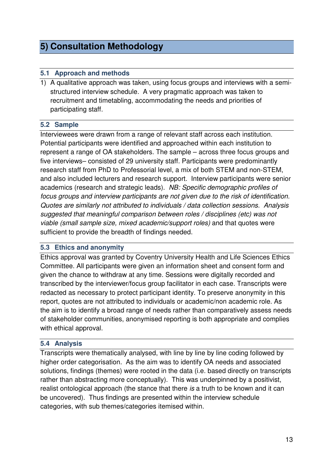# **5) Consultation Methodology**

#### **5.1 Approach and methods**

1) A qualitative approach was taken, using focus groups and interviews with a semistructured interview schedule. A very pragmatic approach was taken to recruitment and timetabling, accommodating the needs and priorities of participating staff.

#### **5.2 Sample**

Interviewees were drawn from a range of relevant staff across each institution. Potential participants were identified and approached within each institution to represent a range of OA stakeholders. The sample – across three focus groups and five interviews– consisted of 29 university staff. Participants were predominantly research staff from PhD to Professorial level, a mix of both STEM and non-STEM, and also included lecturers and research support. Interview participants were senior academics (research and strategic leads). *NB: Specific demographic profiles of focus groups and interview participants are not given due to the risk of identification. Quotes are similarly not attributed to individuals / data collection sessions. Analysis suggested that meaningful comparison between roles / disciplines (etc) was not viable (small sample size, mixed academic/support roles)* and that quotes were sufficient to provide the breadth of findings needed.

#### **5.3 Ethics and anonymity**

Ethics approval was granted by Coventry University Health and Life Sciences Ethics Committee. All participants were given an information sheet and consent form and given the chance to withdraw at any time. Sessions were digitally recorded and transcribed by the interviewer/focus group facilitator in each case. Transcripts were redacted as necessary to protect participant identity. To preserve anonymity in this report, quotes are not attributed to individuals or academic/non academic role. As the aim is to identify a broad range of needs rather than comparatively assess needs of stakeholder communities, anonymised reporting is both appropriate and complies with ethical approval.

#### **5.4 Analysis**

Transcripts were thematically analysed, with line by line by line coding followed by higher order categorisation. As the aim was to identify OA needs and associated solutions, findings (themes) were rooted in the data (i.e. based directly on transcripts rather than abstracting more conceptually). This was underpinned by a positivist, realist ontological approach (the stance that there *is* a truth to be known and it can be uncovered). Thus findings are presented within the interview schedule categories, with sub themes/categories itemised within.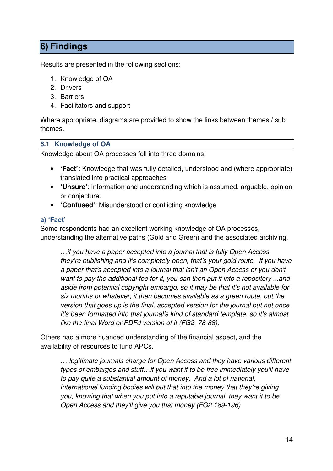# **6) Findings**

Results are presented in the following sections:

- 1. Knowledge of OA
- 2. Drivers
- 3. Barriers
- 4. Facilitators and support

Where appropriate, diagrams are provided to show the links between themes / sub themes.

#### **6.1 Knowledge of OA**

Knowledge about OA processes fell into three domains:

- **'Fact':** Knowledge that was fully detailed, understood and (where appropriate) translated into practical approaches
- **'Unsure'**: Information and understanding which is assumed, arguable, opinion or conjecture.
- **'Confused'**: Misunderstood or conflicting knowledge

#### **a) 'Fact'**

Some respondents had an excellent working knowledge of OA processes, understanding the alternative paths (Gold and Green) and the associated archiving.

*…if you have a paper accepted into a journal that is fully Open Access, they're publishing and it's completely open, that's your gold route. If you have a paper that's accepted into a journal that isn't an Open Access or you don't want to pay the additional fee for it, you can then put it into a repository ...and aside from potential copyright embargo, so it may be that it's not available for six months or whatever, it then becomes available as a green route, but the version that goes up is the final, accepted version for the journal but not once it's been formatted into that journal's kind of standard template, so it's almost like the final Word or PDFd version of it (FG2, 78-88).* 

Others had a more nuanced understanding of the financial aspect, and the availability of resources to fund APCs.

*… legitimate journals charge for Open Access and they have various different types of embargos and stuff…if you want it to be free immediately you'll have to pay quite a substantial amount of money. And a lot of national, international funding bodies will put that into the money that they're giving you, knowing that when you put into a reputable journal, they want it to be Open Access and they'll give you that money (FG2 189-196)*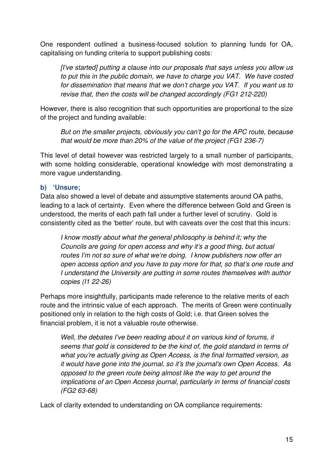One respondent outlined a business-focused solution to planning funds for OA, capitalising on funding criteria to support publishing costs:

*[I've started] putting a clause into our proposals that says unless you allow us to put this in the public domain, we have to charge you VAT. We have costed for dissemination that means that we don't charge you VAT. If you want us to revise that, then the costs will be changed accordingly (FG1 212-220)* 

However, there is also recognition that such opportunities are proportional to the size of the project and funding available:

*But on the smaller projects, obviously you can't go for the APC route, because that would be more than 20% of the value of the project (FG1 236-7)* 

This level of detail however was restricted largely to a small number of participants, with some holding considerable, operational knowledge with most demonstrating a more vague understanding.

#### **b) 'Unsure;**

Data also showed a level of debate and assumptive statements around OA paths, leading to a lack of certainty. Even where the difference between Gold and Green is understood, the merits of each path fall under a further level of scrutiny. Gold is consistently cited as the 'better' route, but with caveats over the cost that this incurs:

*I know mostly about what the general philosophy is behind it; why the Councils are going for open access and why it's a good thing, but actual routes I'm not so sure of what we're doing. I know publishers now offer an open access option and you have to pay more for that, so that's one route and I understand the University are putting in some routes themselves with author copies (I1 22-26)* 

Perhaps more insightfully, participants made reference to the relative merits of each route and the intrinsic value of each approach. The merits of Green were continually positioned only in relation to the high costs of Gold; i.e. that Green solves the financial problem, it is not a valuable route otherwise.

*Well, the debates I've been reading about it on various kind of forums, it seems that gold is considered to be the kind of, the gold standard in terms of what you're actually giving as Open Access, is the final formatted version, as it would have gone into the journal, so it's the journal's own Open Access. As opposed to the green route being almost like the way to get around the implications of an Open Access journal, particularly in terms of financial costs (FG2 63-68)* 

Lack of clarity extended to understanding on OA compliance requirements: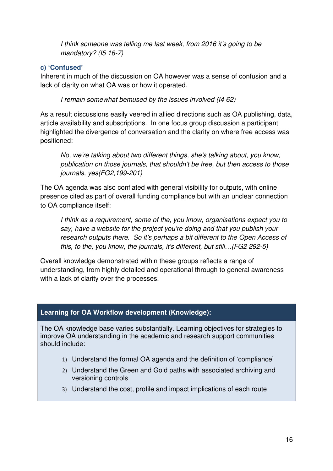*I think someone was telling me last week, from 2016 it's going to be mandatory? (I5 16-7)* 

# **c) 'Confused'**

Inherent in much of the discussion on OA however was a sense of confusion and a lack of clarity on what OA was or how it operated.

 *I remain somewhat bemused by the issues involved (I4 62)* 

As a result discussions easily veered in allied directions such as OA publishing, data, article availability and subscriptions. In one focus group discussion a participant highlighted the divergence of conversation and the clarity on where free access was positioned:

*No, we're talking about two different things, she's talking about, you know, publication on those journals, that shouldn't be free, but then access to those journals, yes(FG2,199-201)* 

The OA agenda was also conflated with general visibility for outputs, with online presence cited as part of overall funding compliance but with an unclear connection to OA compliance itself:

*I think as a requirement, some of the, you know, organisations expect you to say, have a website for the project you're doing and that you publish your research outputs there. So it's perhaps a bit different to the Open Access of this, to the, you know, the journals, it's different, but still…(FG2 292-5)* 

Overall knowledge demonstrated within these groups reflects a range of understanding, from highly detailed and operational through to general awareness with a lack of clarity over the processes.

# **Learning for OA Workflow development (Knowledge):**

The OA knowledge base varies substantially. Learning objectives for strategies to improve OA understanding in the academic and research support communities should include:

- 1) Understand the formal OA agenda and the definition of 'compliance'
- 2) Understand the Green and Gold paths with associated archiving and versioning controls
- 3) Understand the cost, profile and impact implications of each route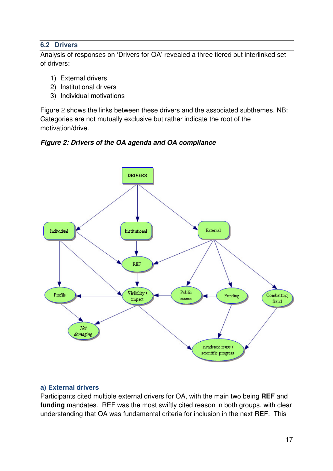#### **6.2 Drivers**

Analysis of responses on 'Drivers for OA' revealed a three tiered but interlinked set of drivers:

- 1) External drivers
- 2) Institutional drivers
- 3) Individual motivations

Figure 2 shows the links between these drivers and the associated subthemes. NB: Categories are not mutually exclusive but rather indicate the root of the motivation/drive.





## **a) External drivers**

Participants cited multiple external drivers for OA, with the main two being **REF** and **funding** mandates. REF was the most swiftly cited reason in both groups, with clear understanding that OA was fundamental criteria for inclusion in the next REF. This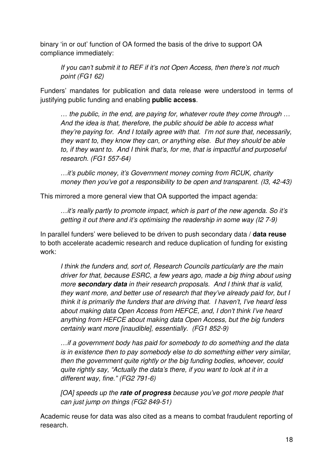binary 'in or out' function of OA formed the basis of the drive to support OA compliance immediately:

*If you can't submit it to REF if it's not Open Access, then there's not much point (FG1 62)* 

Funders' mandates for publication and data release were understood in terms of justifying public funding and enabling **public access**.

*… the public, in the end, are paying for, whatever route they come through … And the idea is that, therefore, the public should be able to access what they're paying for. And I totally agree with that. I'm not sure that, necessarily, they want to, they know they can, or anything else. But they should be able to, if they want to. And I think that's, for me, that is impactful and purposeful research. (FG1 557-64)* 

*…it's public money, it's Government money coming from RCUK, charity money then you've got a responsibility to be open and transparent. (I3, 42-43)* 

This mirrored a more general view that OA supported the impact agenda:

*…it's really partly to promote impact, which is part of the new agenda. So it's getting it out there and it's optimising the readership in some way (I2 7-9)* 

In parallel funders' were believed to be driven to push secondary data / **data reuse** to both accelerate academic research and reduce duplication of funding for existing work:

*I think the funders and, sort of, Research Councils particularly are the main driver for that, because ESRC, a few years ago, made a big thing about using more* **secondary data** *in their research proposals. And I think that is valid, they want more, and better use of research that they've already paid for, but I think it is primarily the funders that are driving that. I haven't, I've heard less about making data Open Access from HEFCE, and, I don't think I've heard anything from HEFCE about making data Open Access, but the big funders certainly want more [inaudible], essentially. (FG1 852-9)* 

*…if a government body has paid for somebody to do something and the data is in existence then to pay somebody else to do something either very similar, then the government quite rightly or the big funding bodies, whoever, could quite rightly say, "Actually the data's there, if you want to look at it in a different way, fine." (FG2 791-6)* 

*[OA] speeds up the* **rate of progress** *because you've got more people that can just jump on things (FG2 849-51)* 

Academic reuse for data was also cited as a means to combat fraudulent reporting of research.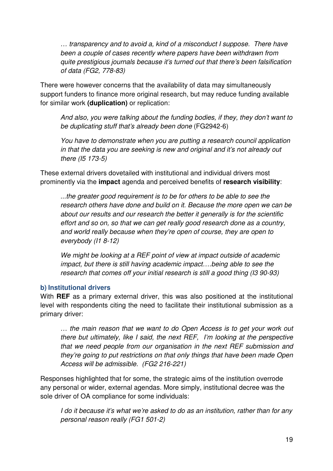*… transparency and to avoid a, kind of a misconduct I suppose. There have been a couple of cases recently where papers have been withdrawn from quite prestigious journals because it's turned out that there's been falsification of data (FG2, 778-83)* 

There were however concerns that the availability of data may simultaneously support funders to finance more original research, but may reduce funding available for similar work **(duplication)** or replication:

*And also, you were talking about the funding bodies, if they, they don't want to be duplicating stuff that's already been done* (FG2942-6)

*You have to demonstrate when you are putting a research council application in that the data you are seeking is new and original and it's not already out there (I5 173-5)* 

These external drivers dovetailed with institutional and individual drivers most prominently via the **impact** agenda and perceived benefits of **research visibility**:

*...the greater good requirement is to be for others to be able to see the research others have done and build on it. Because the more open we can be about our results and our research the better it generally is for the scientific effort and so on, so that we can get really good research done as a country, and world really because when they're open of course, they are open to everybody (I1 8-12)* 

*We might be looking at a REF point of view at impact outside of academic impact, but there is still having academic impact….being able to see the research that comes off your initial research is still a good thing (I3 90-93)* 

#### **b) Institutional drivers**

With **REF** as a primary external driver, this was also positioned at the institutional level with respondents citing the need to facilitate their institutional submission as a primary driver:

*… the main reason that we want to do Open Access is to get your work out there but ultimately, like I said, the next REF, I'm looking at the perspective that we need people from our organisation in the next REF submission and they're going to put restrictions on that only things that have been made Open Access will be admissible. (FG2 216-221)* 

Responses highlighted that for some, the strategic aims of the institution overrode any personal or wider, external agendas. More simply, institutional decree was the sole driver of OA compliance for some individuals:

*I do it because it's what we're asked to do as an institution, rather than for any personal reason really (FG1 501-2)*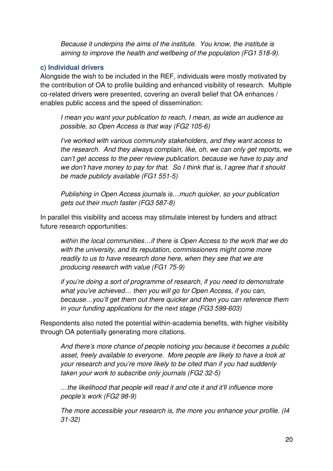*Because it underpins the aims of the institute. You know, the institute is aiming to improve the health and wellbeing of the population (FG1 518-9).* 

#### **c) Individual drivers**

Alongside the wish to be included in the REF, individuals were mostly motivated by the contribution of OA to profile building and enhanced visibility of research. Multiple co-related drivers were presented, covering an overall belief that OA enhances / enables public access and the speed of dissemination:

*I mean you want your publication to reach, I mean, as wide an audience as possible, so Open Access is that way (FG2 105-6)* 

*I've worked with various community stakeholders, and they want access to the research. And they always complain, like, oh, we can only get reports, we can't get access to the peer review publication, because we have to pay and we don't have money to pay for that. So I think that is, I agree that it should be made publicly available (FG1 551-5)* 

*Publishing in Open Access journals is…much quicker, so your publication gets out their much faster (FG3 587-8)* 

In parallel this visibility and access may stimulate interest by funders and attract future research opportunities:

*within the local communities…if there is Open Access to the work that we do with the university, and its reputation, commissioners might come more readily to us to have research done here, when they see that we are producing research with value (FG1 75-9)* 

*if you're doing a sort of programme of research, if you need to demonstrate what you've achieved… then you will go for Open Access, if you can, because…you'll get them out there quicker and then you can reference them in your funding applications for the next stage (FG3 599-603)* 

Respondents also noted the potential within-academia benefits, with higher visibility through OA potentially generating more citations.

*And there's more chance of people noticing you because it becomes a public asset, freely available to everyone. More people are likely to have a look at your research and you're more likely to be cited than if you had suddenly taken your work to subscribe only journals (FG2 32-5)* 

*…the likelihood that people will read it and cite it and it'll influence more people's work (FG2 98-9)* 

*The more accessible your research is, the more you enhance your profile. (I4 31-32)*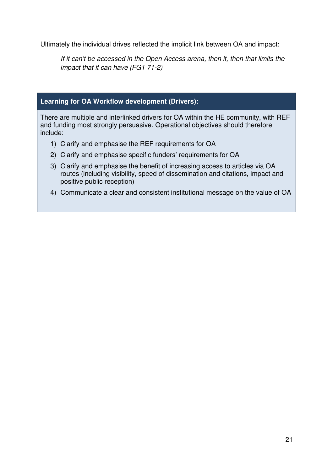Ultimately the individual drives reflected the implicit link between OA and impact:

*If it can't be accessed in the Open Access arena, then it, then that limits the impact that it can have (FG1 71-2)* 

#### **Learning for OA Workflow development (Drivers):**

There are multiple and interlinked drivers for OA within the HE community, with REF and funding most strongly persuasive. Operational objectives should therefore include:

- 1) Clarify and emphasise the REF requirements for OA
- 2) Clarify and emphasise specific funders' requirements for OA
- 3) Clarify and emphasise the benefit of increasing access to articles via OA routes (including visibility, speed of dissemination and citations, impact and positive public reception)
- 4) Communicate a clear and consistent institutional message on the value of OA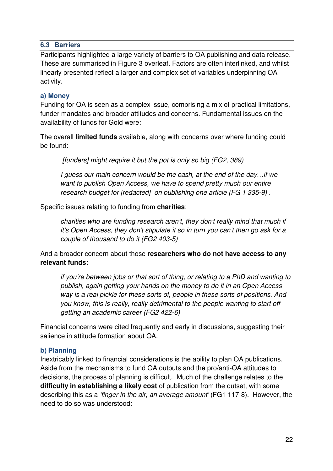#### **6.3 Barriers**

Participants highlighted a large variety of barriers to OA publishing and data release. These are summarised in Figure 3 overleaf. Factors are often interlinked, and whilst linearly presented reflect a larger and complex set of variables underpinning OA activity.

#### **a) Money**

Funding for OA is seen as a complex issue, comprising a mix of practical limitations, funder mandates and broader attitudes and concerns. Fundamental issues on the availability of funds for Gold were:

The overall **limited funds** available, along with concerns over where funding could be found:

 *[funders] might require it but the pot is only so big (FG2, 389)* 

*I guess our main concern would be the cash, at the end of the day…if we want to publish Open Access, we have to spend pretty much our entire research budget for [redacted] on publishing one article (FG 1 335-9) .* 

Specific issues relating to funding from **charities**:

*charities who are funding research aren't, they don't really mind that much if it's Open Access, they don't stipulate it so in turn you can't then go ask for a couple of thousand to do it (FG2 403-5)* 

And a broader concern about those **researchers who do not have access to any relevant funds:** 

*if you're between jobs or that sort of thing, or relating to a PhD and wanting to publish, again getting your hands on the money to do it in an Open Access way is a real pickle for these sorts of, people in these sorts of positions. And you know, this is really, really detrimental to the people wanting to start off getting an academic career (FG2 422-6)* 

Financial concerns were cited frequently and early in discussions, suggesting their salience in attitude formation about OA.

#### **b) Planning**

Inextricably linked to financial considerations is the ability to plan OA publications. Aside from the mechanisms to fund OA outputs and the pro/anti-OA attitudes to decisions, the process of planning is difficult. Much of the challenge relates to the **difficulty in establishing a likely cost** of publication from the outset, with some describing this as a *'finger in the air, an average amount'* (FG1 117-8). However, the need to do so was understood: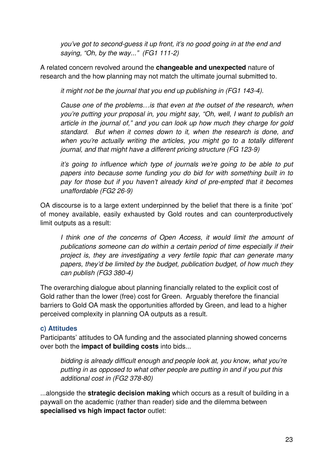*you've got to second-guess it up front, it's no good going in at the end and saying, "Oh, by the way..." (FG1 111-2)* 

A related concern revolved around the **changeable and unexpected** nature of research and the how planning may not match the ultimate journal submitted to.

*it might not be the journal that you end up publishing in (FG1 143-4).* 

*Cause one of the problems…is that even at the outset of the research, when you're putting your proposal in, you might say, "Oh, well, I want to publish an article in the journal of," and you can look up how much they charge for gold standard. But when it comes down to it, when the research is done, and when you're actually writing the articles, you might go to a totally different journal, and that might have a different pricing structure (FG 123-9)* 

*it's going to influence which type of journals we're going to be able to put papers into because some funding you do bid for with something built in to pay for those but if you haven't already kind of pre-empted that it becomes unaffordable (FG2 26-9)* 

OA discourse is to a large extent underpinned by the belief that there is a finite 'pot' of money available, easily exhausted by Gold routes and can counterproductively limit outputs as a result:

*I think one of the concerns of Open Access, it would limit the amount of publications someone can do within a certain period of time especially if their project is, they are investigating a very fertile topic that can generate many papers, they'd be limited by the budget, publication budget, of how much they can publish (FG3 380-4)* 

The overarching dialogue about planning financially related to the explicit cost of Gold rather than the lower (free) cost for Green. Arguably therefore the financial barriers to Gold OA mask the opportunities afforded by Green, and lead to a higher perceived complexity in planning OA outputs as a result.

## **c) Attitudes**

Participants' attitudes to OA funding and the associated planning showed concerns over both the **impact of building costs** into bids...

*bidding is already difficult enough and people look at, you know, what you're putting in as opposed to what other people are putting in and if you put this additional cost in (FG2 378-80)* 

...alongside the **strategic decision making** which occurs as a result of building in a paywall on the academic (rather than reader) side and the dilemma between **specialised vs high impact factor** outlet: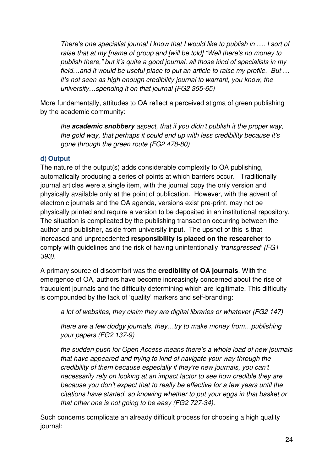*There's one specialist journal I know that I would like to publish in …. I sort of raise that at my [name of group and [will be told] "Well there's no money to publish there," but it's quite a good journal, all those kind of specialists in my field…and it would be useful place to put an article to raise my profile. But … it's not seen as high enough credibility journal to warrant, you know, the university…spending it on that journal (FG2 355-65)*

More fundamentally, attitudes to OA reflect a perceived stigma of green publishing by the academic community:

*the* **academic snobbery** *aspect, that if you didn't publish it the proper way, the gold way, that perhaps it could end up with less credibility because it's gone through the green route (FG2 478-80)* 

# **d) Output**

The nature of the output(s) adds considerable complexity to OA publishing, automatically producing a series of points at which barriers occur. Traditionally journal articles were a single item, with the journal copy the only version and physically available only at the point of publication. However, with the advent of electronic journals and the OA agenda, versions exist pre-print, may not be physically printed and require a version to be deposited in an institutional repository. The situation is complicated by the publishing transaction occurring between the author and publisher, aside from university input. The upshot of this is that increased and unprecedented **responsibility is placed on the researcher** to comply with guidelines and the risk of having unintentionally *'transgressed' (FG1 393).* 

A primary source of discomfort was the **credibility of OA journals**. With the emergence of OA, authors have become increasingly concerned about the rise of fraudulent journals and the difficulty determining which are legitimate. This difficulty is compounded by the lack of 'quality' markers and self-branding:

*a lot of websites, they claim they are digital libraries or whatever (FG2 147)* 

*there are a few dodgy journals, they…try to make money from…publishing your papers (FG2 137-9)* 

*the sudden push for Open Access means there's a whole load of new journals that have appeared and trying to kind of navigate your way through the credibility of them because especially if they're new journals, you can't necessarily rely on looking at an impact factor to see how credible they are because you don't expect that to really be effective for a few years until the citations have started, so knowing whether to put your eggs in that basket or that other one is not going to be easy (FG2 727-34).* 

Such concerns complicate an already difficult process for choosing a high quality journal: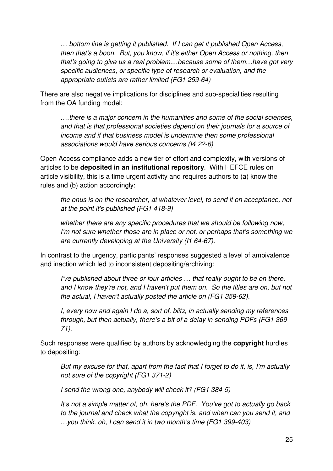*… bottom line is getting it published. If I can get it published Open Access, then that's a boon. But, you know, if it's either Open Access or nothing, then that's going to give us a real problem....because some of them…have got very specific audiences, or specific type of research or evaluation, and the appropriate outlets are rather limited (FG1 259-64)*

There are also negative implications for disciplines and sub-specialities resulting from the OA funding model:

*….there is a major concern in the humanities and some of the social sciences, and that is that professional societies depend on their journals for a source of income and if that business model is undermine then some professional associations would have serious concerns (I4 22-6)* 

Open Access compliance adds a new tier of effort and complexity, with versions of articles to be **deposited in an institutional repository**. With HEFCE rules on article visibility, this is a time urgent activity and requires authors to (a) know the rules and (b) action accordingly:

*the onus is on the researcher, at whatever level, to send it on acceptance, not at the point it's published (FG1 418-9)* 

*whether there are any specific procedures that we should be following now, I'm not sure whether those are in place or not, or perhaps that's something we are currently developing at the University (I1 64-67).*

In contrast to the urgency, participants' responses suggested a level of ambivalence and inaction which led to inconsistent depositing/archiving:

*I've published about three or four articles ... that really ought to be on there, and I know they're not, and I haven't put them on. So the titles are on, but not the actual, I haven't actually posted the article on (FG1 359-62).* 

*I, every now and again I do a, sort of, blitz, in actually sending my references through, but then actually, there's a bit of a delay in sending PDFs (FG1 369- 71).* 

Such responses were qualified by authors by acknowledging the **copyright** hurdles to depositing:

*But my excuse for that, apart from the fact that I forget to do it, is, I'm actually not sure of the copyright (FG1 371-2)* 

*I send the wrong one, anybody will check it? (FG1 384-5)* 

*It's not a simple matter of, oh, here's the PDF. You've got to actually go back*  to the journal and check what the copyright is, and when can you send it, and *…you think, oh, I can send it in two month's time (FG1 399-403)*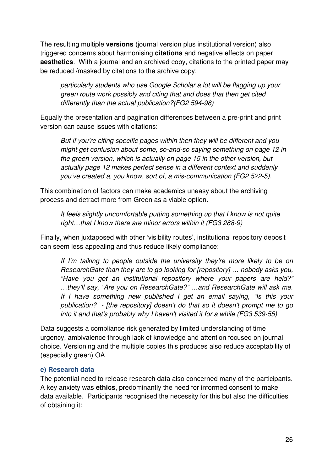The resulting multiple **versions** (journal version plus institutional version) also triggered concerns about harmonising **citations** and negative effects on paper **aesthetics**. With a journal and an archived copy, citations to the printed paper may be reduced /masked by citations to the archive copy:

*particularly students who use Google Scholar a lot will be flagging up your green route work possibly and citing that and does that then get cited differently than the actual publication?(FG2 594-98)* 

Equally the presentation and pagination differences between a pre-print and print version can cause issues with citations:

*But if you're citing specific pages within then they will be different and you might get confusion about some, so-and-so saying something on page 12 in the green version, which is actually on page 15 in the other version, but actually page 12 makes perfect sense in a different context and suddenly you've created a, you know, sort of, a mis-communication (FG2 522-5).* 

This combination of factors can make academics uneasy about the archiving process and detract more from Green as a viable option.

*It feels slightly uncomfortable putting something up that I know is not quite right…that I know there are minor errors within it (FG3 288-9)* 

Finally, when juxtaposed with other 'visibility routes', institutional repository deposit can seem less appealing and thus reduce likely compliance:

*If I'm talking to people outside the university they're more likely to be on ResearchGate than they are to go looking for [repository] … nobody asks you, "Have you got an institutional repository where your papers are held?" …they'll say, "Are you on ResearchGate?" …and ResearchGate will ask me. If I have something new published I get an email saying, "Is this your publication?" - [the repository] doesn't do that so it doesn't prompt me to go into it and that's probably why I haven't visited it for a while (FG3 539-55)* 

Data suggests a compliance risk generated by limited understanding of time urgency, ambivalence through lack of knowledge and attention focused on journal choice. Versioning and the multiple copies this produces also reduce acceptability of (especially green) OA

#### **e) Research data**

The potential need to release research data also concerned many of the participants. A key anxiety was **ethics**, predominantly the need for informed consent to make data available. Participants recognised the necessity for this but also the difficulties of obtaining it: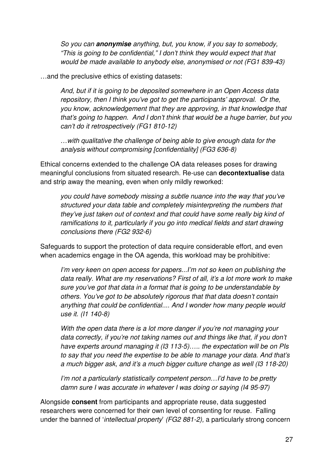*So you can* **anonymise** *anything, but, you know, if you say to somebody, "This is going to be confidential," I don't think they would expect that that would be made available to anybody else, anonymised or not (FG1 839-43)* 

…and the preclusive ethics of existing datasets:

*And, but if it is going to be deposited somewhere in an Open Access data repository, then I think you've got to get the participants' approval. Or the, you know, acknowledgement that they are approving, in that knowledge that that's going to happen. And I don't think that would be a huge barrier, but you can't do it retrospectively (FG1 810-12)* 

*…with qualitative the challenge of being able to give enough data for the analysis without compromising [confidentiality] (FG3 636-8)* 

Ethical concerns extended to the challenge OA data releases poses for drawing meaningful conclusions from situated research. Re-use can **decontextualise** data and strip away the meaning, even when only mildly reworked:

*you could have somebody missing a subtle nuance into the way that you've structured your data table and completely misinterpreting the numbers that they've just taken out of context and that could have some really big kind of ramifications to it, particularly if you go into medical fields and start drawing conclusions there (FG2 932-6)* 

Safeguards to support the protection of data require considerable effort, and even when academics engage in the OA agenda, this workload may be prohibitive:

*I'm very keen on open access for papers...I'm not so keen on publishing the data really. What are my reservations? First of all, it's a lot more work to make sure you've got that data in a format that is going to be understandable by others. You've got to be absolutely rigorous that that data doesn't contain anything that could be confidential.... And I wonder how many people would use it. (I1 140-8)* 

*With the open data there is a lot more danger if you're not managing your data correctly, if you're not taking names out and things like that, if you don't have experts around managing it (I3 113-5)….. the expectation will be on PIs to say that you need the expertise to be able to manage your data. And that's a much bigger ask, and it's a much bigger culture change as well (I3 118-20)* 

*I'm not a particularly statistically competent person…I'd have to be pretty damn sure I was accurate in whatever I was doing or saying (I4 95-97)* 

Alongside **consent** from participants and appropriate reuse, data suggested researchers were concerned for their own level of consenting for reuse. Falling under the banned of '*intellectual property*' *(FG2 881-2),* a particularly strong concern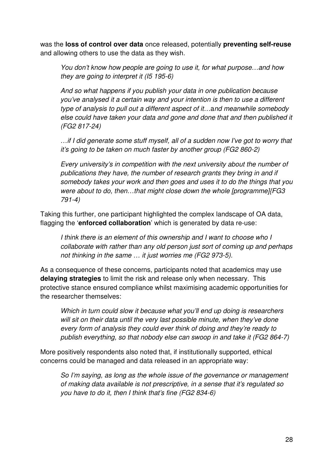was the **loss of control over data** once released, potentially **preventing self-reuse** and allowing others to use the data as they wish.

*You don't know how people are going to use it, for what purpose…and how they are going to interpret it (I5 195-6)* 

*And so what happens if you publish your data in one publication because you've analysed it a certain way and your intention is then to use a different type of analysis to pull out a different aspect of it…*a*nd meanwhile somebody else could have taken your data and gone and done that and then published it (FG2 817-24)* 

*…if I did generate some stuff myself, all of a sudden now I've got to worry that it's going to be taken on much faster by another group (FG2 860-2)* 

*Every university's in competition with the next university about the number of publications they have, the number of research grants they bring in and if somebody takes your work and then goes and uses it to do the things that you were about to do, then…that might close down the whole [programme]{FG3 791-4)* 

Taking this further, one participant highlighted the complex landscape of OA data, flagging the '**enforced collaboration**' which is generated by data re-use:

*I think there is an element of this ownership and I want to choose who I collaborate with rather than any old person just sort of coming up and perhaps not thinking in the same … it just worries me (FG2 973-5).* 

As a consequence of these concerns, participants noted that academics may use **delaying strategies** to limit the risk and release only when necessary. This protective stance ensured compliance whilst maximising academic opportunities for the researcher themselves:

*Which in turn could slow it because what you'll end up doing is researchers will sit on their data until the very last possible minute, when they've done every form of analysis they could ever think of doing and they're ready to publish everything, so that nobody else can swoop in and take it (FG2 864-7)* 

More positively respondents also noted that, if institutionally supported, ethical concerns could be managed and data released in an appropriate way:

*So I'm saying, as long as the whole issue of the governance or management of making data available is not prescriptive, in a sense that it's regulated so you have to do it, then I think that's fine (FG2 834-6)*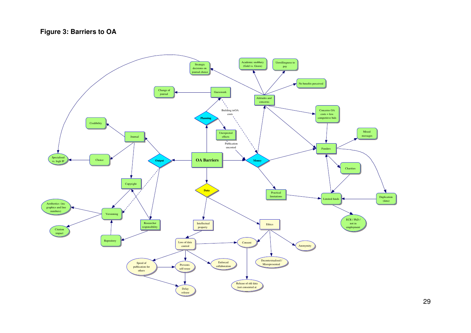# **Figure 3: Barriers to OA**

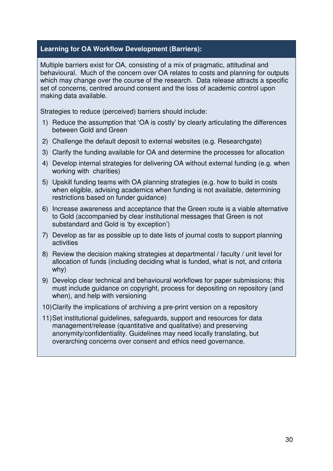### **Learning for OA Workflow Development (Barriers):**

Multiple barriers exist for OA, consisting of a mix of pragmatic, attitudinal and behavioural. Much of the concern over OA relates to costs and planning for outputs which may change over the course of the research. Data release attracts a specific set of concerns, centred around consent and the loss of academic control upon making data available.

Strategies to reduce (perceived) barriers should include:

- 1) Reduce the assumption that 'OA is costly' by clearly articulating the differences between Gold and Green
- 2) Challenge the default deposit to external websites (e.g. Researchgate)
- 3) Clarify the funding available for OA and determine the processes for allocation
- 4) Develop internal strategies for delivering OA without external funding (e.g. when working with charities)
- 5) Upskill funding teams with OA planning strategies (e.g. how to build in costs when eligible, advising academics when funding is not available, determining restrictions based on funder guidance)
- 6) Increase awareness and acceptance that the Green route is a viable alternative to Gold (accompanied by clear institutional messages that Green is not substandard and Gold is 'by exception')
- 7) Develop as far as possible up to date lists of journal costs to support planning activities
- 8) Review the decision making strategies at departmental / faculty / unit level for allocation of funds (including deciding what is funded, what is not, and criteria why)
- 9) Develop clear technical and behavioural workflows for paper submissions; this must include guidance on copyright, process for depositing on repository (and when), and help with versioning
- 10) Clarify the implications of archiving a pre-print version on a repository
- 11) Set institutional guidelines, safeguards, support and resources for data management/release (quantitative and qualitative) and preserving anonymity/confidentiality. Guidelines may need locally translating, but overarching concerns over consent and ethics need governance.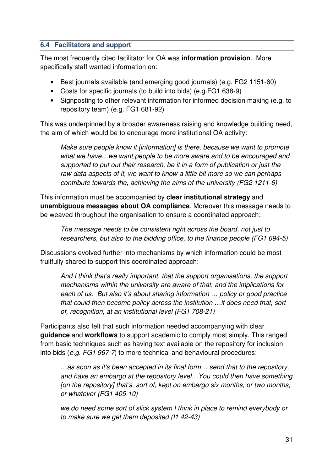#### **6.4 Facilitators and support**

The most frequently cited facilitator for OA was **information provision**. More specifically staff wanted information on:

- Best journals available (and emerging good journals) (e.g. FG2 1151-60)
- Costs for specific journals (to build into bids) (e.g.FG1 638-9)
- Signposting to other relevant information for informed decision making (e.g. to repository team) (e.g. FG1 681-92)

This was underpinned by a broader awareness raising and knowledge building need, the aim of which would be to encourage more institutional OA activity:

*Make sure people know it [information] is there, because we want to promote what we have…we want people to be more aware and to be encouraged and supported to put out their research, be it in a form of publication or just the raw data aspects of it, we want to know a little bit more so we can perhaps contribute towards the, achieving the aims of the university (FG2 1211-6)* 

This information must be accompanied by **clear institutional strategy** and **unambiguous messages about OA compliance**. Moreover this message needs to be weaved throughout the organisation to ensure a coordinated approach:

*The message needs to be consistent right across the board, not just to researchers, but also to the bidding office, to the finance people (FG1 694-5)* 

Discussions evolved further into mechanisms by which information could be most fruitfully shared to support this coordinated approach:

*And I think that's really important, that the support organisations, the support mechanisms within the university are aware of that, and the implications for each of us. But also it's about sharing information … policy or good practice that could then become policy across the institution …it does need that, sort of, recognition, at an institutional level (FG1 708-21)* 

Participants also felt that such information needed accompanying with clear **guidance** and **workflows** to support academic to comply most simply. This ranged from basic techniques such as having text available on the repository for inclusion into bids (*e.g. FG1 967-7*) to more technical and behavioural procedures:

*…as soon as it's been accepted in its final form… send that to the repository, and have an embargo at the repository level…You could then have something [on the repository] that's, sort of, kept on embargo six months, or two months, or whatever (FG1 405-10)* 

*we do need some sort of slick system I think in place to remind everybody or to make sure we get them deposited (I1 42-43)*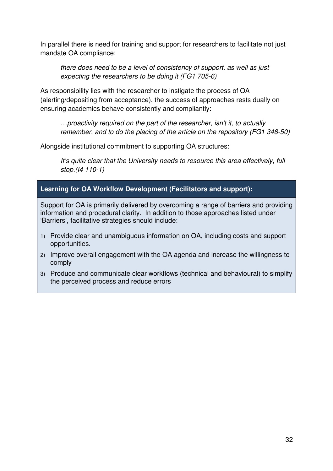In parallel there is need for training and support for researchers to facilitate not just mandate OA compliance:

*there does need to be a level of consistency of support, as well as just expecting the researchers to be doing it (FG1 705-6)* 

As responsibility lies with the researcher to instigate the process of OA (alerting/depositing from acceptance), the success of approaches rests dually on ensuring academics behave consistently and compliantly:

*…proactivity required on the part of the researcher, isn't it, to actually remember, and to do the placing of the article on the repository (FG1 348-50)* 

Alongside institutional commitment to supporting OA structures:

*It's quite clear that the University needs to resource this area effectively, full stop.(I4 110-1)* 

## **Learning for OA Workflow Development (Facilitators and support):**

Support for OA is primarily delivered by overcoming a range of barriers and providing information and procedural clarity. In addition to those approaches listed under 'Barriers', facilitative strategies should include:

- 1) Provide clear and unambiguous information on OA, including costs and support opportunities.
- 2) Improve overall engagement with the OA agenda and increase the willingness to comply
- 3) Produce and communicate clear workflows (technical and behavioural) to simplify the perceived process and reduce errors